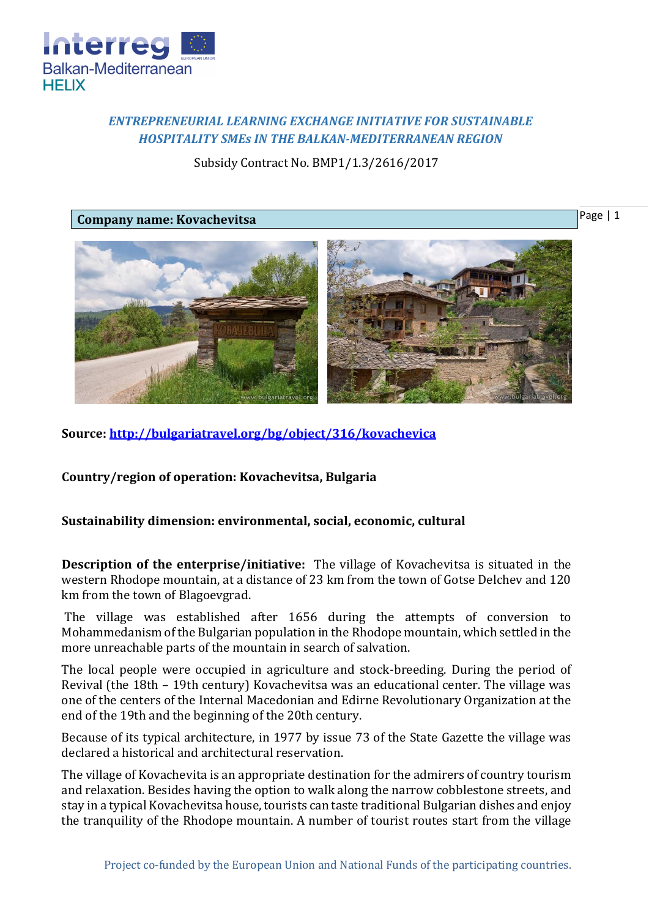

## *ENTREPRENEURIAL LEARNING EXCHANGE INITIATIVE FOR SUSTAINABLE HOSPITALITY SMEs IN THE BALKAN-MEDITERRANEAN REGION*

Subsidy Contract No. BMP1/1.3/2616/2017

## **Company name: Kovachevitsa**

Page | 1



**Source:<http://bulgariatravel.org/bg/object/316/kovachevica>**

**Country/region of operation: Kovachevitsa, Bulgaria**

## **Sustainability dimension: environmental, social, economic, cultural**

**Description of the enterprise/initiative:** The village of Kovachevitsa is situated in the western Rhodope mountain, at a distance of 23 km from the town of Gotse Delchev and 120 km from the town of Blagoevgrad.

The village was established after 1656 during the attempts of conversion to Mohammedanism of the Bulgarian population in the Rhodope mountain, which settled in the more unreachable parts of the mountain in search of salvation.

The local people were occupied in agriculture and stock-breeding. During the period of Revival (the 18th – 19th century) Kovachevitsa was an educational center. The village was one of the centers of the Internal Macedonian and Edirne Revolutionary Organization at the end of the 19th and the beginning of the 20th century.

Because of its typical architecture, in 1977 by issue 73 of the State Gazette the village was declared a historical and architectural reservation.

The village of Kovachevita is an appropriate destination for the admirers of country tourism and relaxation. Besides having the option to walk along the narrow cobblestone streets, and stay in a typical Kovachevitsa house, tourists can taste traditional Bulgarian dishes and enjoy the tranquility of the Rhodope mountain. A number of tourist routes start from the village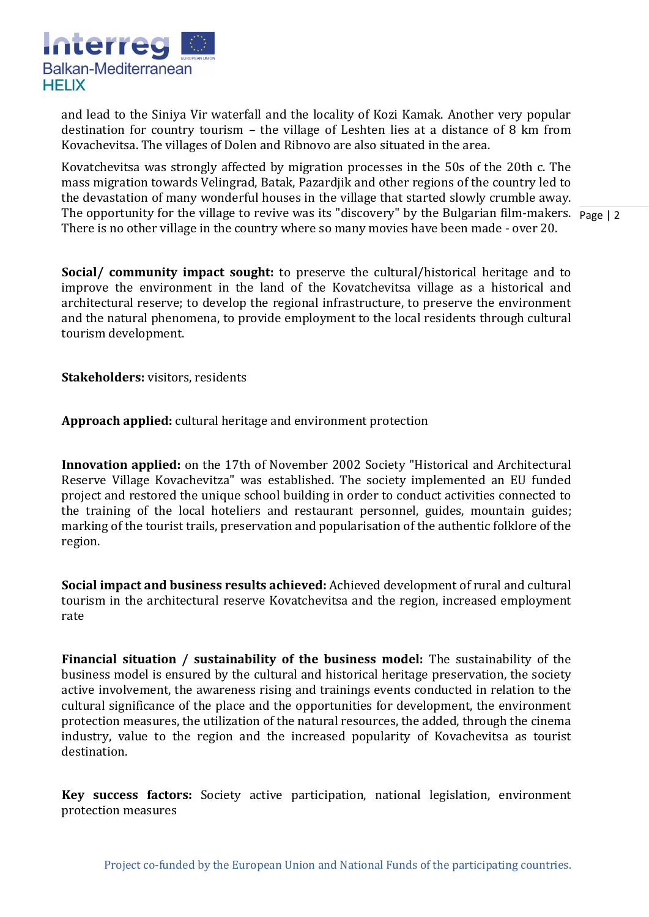

and lead to the Siniya Vir waterfall and the locality of Kozi Kamak. Another very popular destination for country tourism – the village of Leshten lies at a distance of 8 km from Kovachevitsa. The villages of Dolen and Ribnovo are also situated in the area.

The opportunity for the village to revive was its "discovery" by the Bulgarian film-makers. Page | 2 Kovatchevitsa was strongly affected by migration processes in the 50s of the 20th c. The mass migration towards Velingrad, Batak, Pazardjik and other regions of the country led to the devastation of many wonderful houses in the village that started slowly crumble away. There is no other village in the country where so many movies have been made - over 20.

**Social/ community impact sought:** to preserve the cultural/historical heritage and to improve the environment in the land of the Kovatchevitsa village as a historical and architectural reserve; to develop the regional infrastructure, to preserve the environment and the natural phenomena, to provide employment to the local residents through cultural tourism development.

**Stakeholders:** visitors, residents

**Approach applied:** cultural heritage and environment protection

**Innovation applied:** on the 17th of November 2002 Society "Historical and Architectural Reserve Village Kovachevitza" was established. The society implemented an EU funded project and restored the unique school building in order to conduct activities connected to the training of the local hoteliers and restaurant personnel, guides, mountain guides; marking of the tourist trails, preservation and popularisation of the authentic folklore of the region.

**Social impact and business results achieved:** Achieved development of rural and cultural tourism in the architectural reserve Kovatchevitsa and the region, increased employment rate

**Financial situation / sustainability of the business model:** The sustainability of the business model is ensured by the cultural and historical heritage preservation, the society active involvement, the awareness rising and trainings events conducted in relation to the cultural significance of the place and the opportunities for development, the environment protection measures, the utilization of the natural resources, the added, through the cinema industry, value to the region and the increased popularity of Kovachevitsa as tourist destination.

**Key success factors:** Society active participation, national legislation, environment protection measures